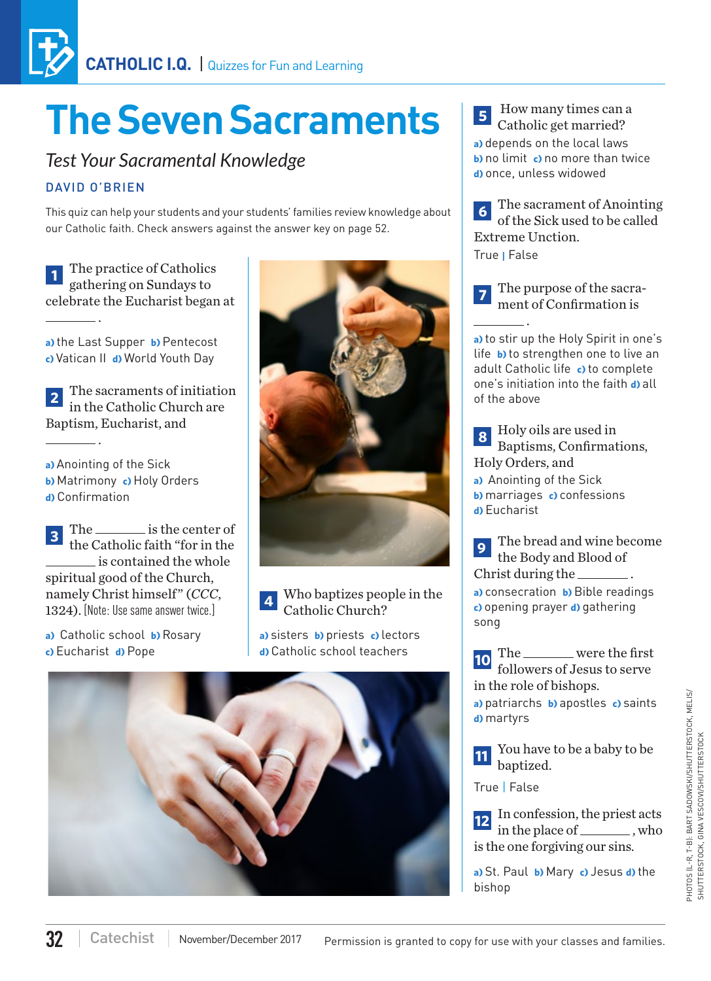# **The Seven Sacraments**

## *Test Your Sacramental Knowledge*

### DAVID O'BRIEN

.

This quiz can help your students and your students' families review knowledge about our Catholic faith. Check answers against the answer key on page 52.

**<sup>1</sup>** The practice of Catholics gathering on Sundays to celebrate the Eucharist began at

**a)** the Last Supper **b)** Pentecost **c)** Vatican II **d)** World Youth Day

**<sup>2</sup>** The sacraments of initiation in the Catholic Church are Baptism, Eucharist, and .

**a)** Anointing of the Sick **b)** Matrimony **c)** Holy Orders **d)** Confirmation

**3** The is the center of the Catholic faith "for in the is contained the whole spiritual good of the Church, namely Christ himself" (*CCC*, 1324). [Note: Use same answer twice.]

**a)** Catholic school **b)** Rosary **c)** Eucharist **d)** Pope



**<sup>4</sup>** Who baptizes people in the Catholic Church?

**a)** sisters **b)** priests **c)** lectors **d)** Catholic school teachers



**5** How many times can a Catholic get married? **a)** depends on the local laws **b)** no limit **c)** no more than twice **d)** once, unless widowed

**<sup>6</sup>** The sacrament of Anointing of the Sick used to be called Extreme Unction. True **|** False

**<sup>7</sup>** The purpose of the sacrament of Confirmation is

.

**a)** to stir up the Holy Spirit in one's life **b)** to strengthen one to live an adult Catholic life **c)** to complete one's initiation into the faith **d)** all of the above

**<sup>8</sup>** Holy oils are used in Baptisms, Confirmations, Holy Orders, and **a)** Anointing of the Sick **b)** marriages **c)** confessions **d)** Eucharist

**<sup>9</sup>** The bread and wine become the Body and Blood of Christ during the  $\equiv$ **a)** consecration **b)** Bible readings **c)** opening prayer **d)** gathering song

**10** The were the first followers of Jesus to serve in the role of bishops.

**a)** patriarchs **b)** apostles **c)** saints **d)** martyrs

**11** You have to be a baby to be baptized.

True | False

**12** In confession, the priest acts in the place of \_\_\_\_\_\_\_\_, who is the one forgiving our sins.

**a)** St. Paul **b)** Mary **c)** Jesus **d)** the bishop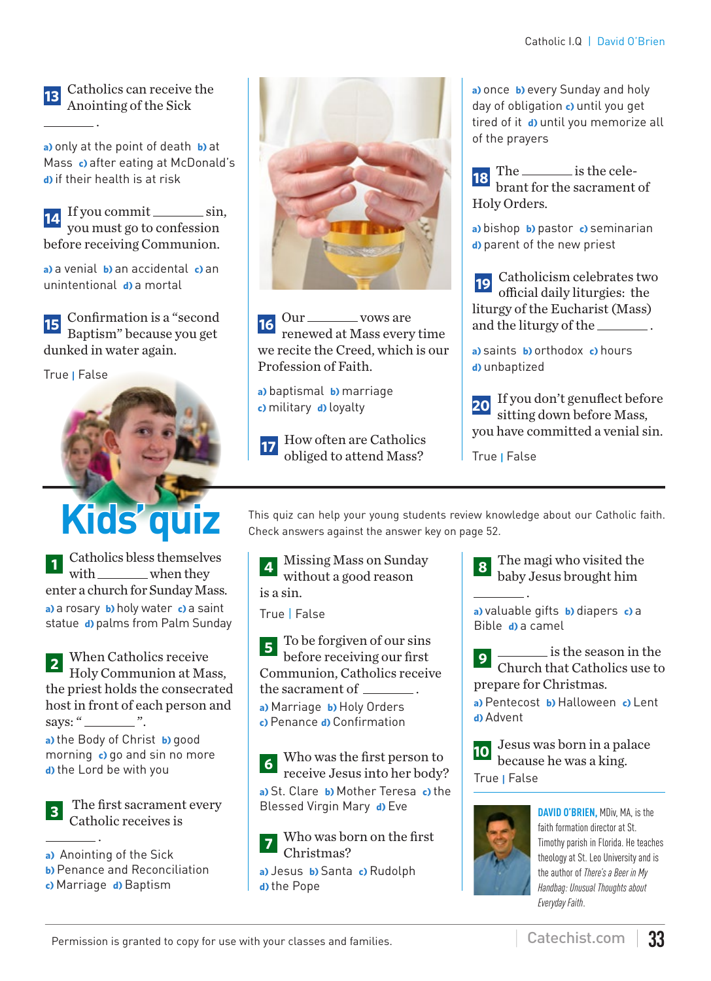#### **<sup>13</sup>** Catholics can receive the Anointing of the Sick

.

**a)** only at the point of death **b)** at Mass **c)** after eating at McDonald's **d)** if their health is at risk

**14.** If you commit \_\_\_\_\_\_\_\_ sin, you must go to confession before receiving Communion.

**a)** a venial **b)** an accidental **c)** an unintentional **d)** a mortal

**15** Confirmation is a "second" Baptism" because you get dunked in water again.

True **|** False



**<sup>1</sup>** Catholics bless themselves with when they enter a church for Sunday Mass. **a)** a rosary **b)** holy water **c)** a saint statue **d)** palms from Palm Sunday

**<sup>2</sup>** When Catholics receive Holy Communion at Mass, the priest holds the consecrated host in front of each person and says: " $\frac{\ }{\ }$ ".

**a)** the Body of Christ **b)** good morning **c)** go and sin no more **d)** the Lord be with you

**<sup>3</sup>** The first sacrament every Catholic receives is

 . **a)** Anointing of the Sick

- **b)** Penance and Reconciliation
- 
- **c)** Marriage **d)** Baptism



 $16 \text{ Our }$  vows are renewed at Mass every time we recite the Creed, which is our Profession of Faith.

**a)** baptismal **b)** marriage **c)** military **d)** loyalty

**<sup>17</sup>** How often are Catholics obliged to attend Mass?

**a)** once **b)** every Sunday and holy day of obligation **c)** until you get tired of it **d)** until you memorize all of the prayers

**18** The  $\frac{1}{\sqrt{2}}$  is the celebrant for the sacrament of Holy Orders.

**a)** bishop **b)** pastor **c)** seminarian **d)** parent of the new priest

**19** Catholicism celebrates two official daily liturgies: the liturgy of the Eucharist (Mass) and the liturgy of the \_\_\_\_\_\_\_\_.

**a)** saints **b)** orthodox **c)** hours **d)** unbaptized

**<sup>20</sup>** If you don't genuflect before sitting down before Mass, you have committed a venial sin.

True **|** False

This quiz can help your young students review knowledge about our Catholic faith.<br>Check answers against the answer key on page 52. Check answers against the answer key on page 52.

> **<sup>4</sup>** Missing Mass on Sunday without a good reason is a sin.

True | False

**<sup>5</sup>** To be forgiven of our sins before receiving our first Communion, Catholics receive the sacrament of  $\overline{\phantom{a}}$ **a)** Marriage **b)** Holy Orders **c)** Penance **d)** Confirmation

**<sup>6</sup>** Who was the first person to receive Jesus into her body? **a)** St. Clare **b)** Mother Teresa **c)** the Blessed Virgin Mary **d)** Eve

**<sup>7</sup>** Who was born on the first Christmas?

**a)** Jesus **b)** Santa **c)** Rudolph **d)** the Pope

.

**<sup>8</sup>** The magi who visited the baby Jesus brought him

**a)** valuable gifts **b)** diapers **c)** a Bible **d)** a camel

**9** is the season in the Church that Catholics use to prepare for Christmas.

**a)** Pentecost **b)** Halloween **c)** Lent **d)** Advent



**<sup>10</sup>** Jesus was born in a palace because he was a king.



**DAVID O'BRIEN,** MDiv, MA, is the faith formation director at St. Timothy parish in Florida. He teaches theology at St. Leo University and is the author of *There's a Beer in My Handbag: Unusual Thoughts about Everyday Faith*.